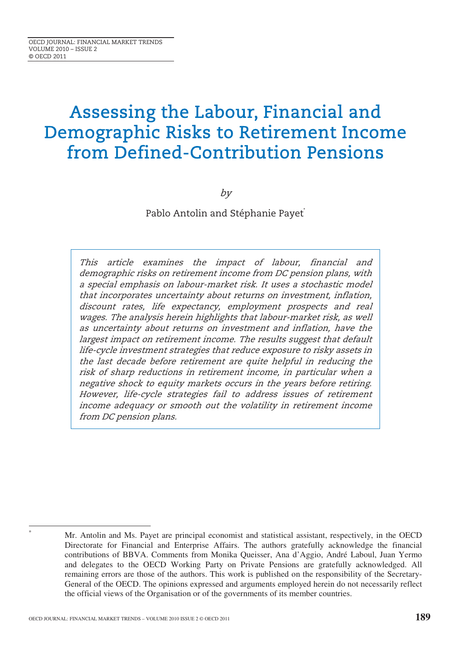# Assessing the Labour, Financial and Demographic Risks to Retirement Income from Defined-Contribution Pensions

by

Pablo Antolin and Stéphanie Payet<sup>\*</sup>

This article examines the impact of labour, financial and demographic risks on retirement income from DC pension plans, with a special emphasis on labour-market risk. It uses a stochastic model that incorporates uncertainty about returns on investment, inflation, discount rates, life expectancy, employment prospects and real wages. The analysis herein highlights that labour-market risk, as well as uncertainty about returns on investment and inflation, have the largest impact on retirement income. The results suggest that default life-cycle investment strategies that reduce exposure to risky assets in the last decade before retirement are quite helpful in reducing the risk of sharp reductions in retirement income, in particular when a negative shock to equity markets occurs in the years before retiring. However, life-cycle strategies fail to address issues of retirement income adequacy or smooth out the volatility in retirement income from DC pension plans.

<sup>\*</sup>

Mr. Antolin and Ms. Payet are principal economist and statistical assistant, respectively, in the OECD Directorate for Financial and Enterprise Affairs. The authors gratefully acknowledge the financial contributions of BBVA. Comments from Monika Queisser, Ana d'Aggio, André Laboul, Juan Yermo and delegates to the OECD Working Party on Private Pensions are gratefully acknowledged. All remaining errors are those of the authors. This work is published on the responsibility of the Secretary-General of the OECD. The opinions expressed and arguments employed herein do not necessarily reflect the official views of the Organisation or of the governments of its member countries.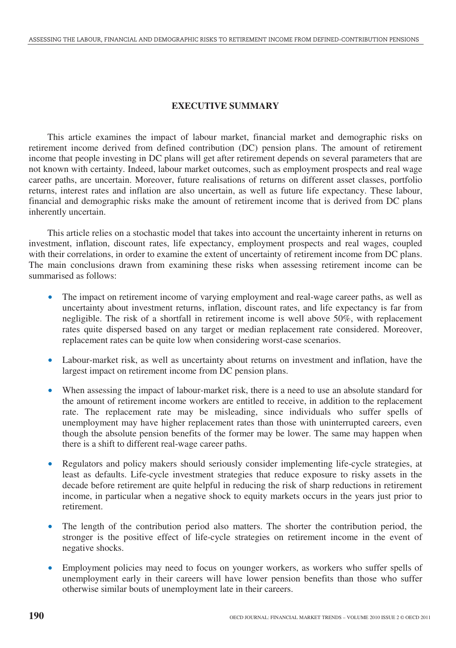# **EXECUTIVE SUMMARY**

This article examines the impact of labour market, financial market and demographic risks on retirement income derived from defined contribution (DC) pension plans. The amount of retirement income that people investing in DC plans will get after retirement depends on several parameters that are not known with certainty. Indeed, labour market outcomes, such as employment prospects and real wage career paths, are uncertain. Moreover, future realisations of returns on different asset classes, portfolio returns, interest rates and inflation are also uncertain, as well as future life expectancy. These labour, financial and demographic risks make the amount of retirement income that is derived from DC plans inherently uncertain.

This article relies on a stochastic model that takes into account the uncertainty inherent in returns on investment, inflation, discount rates, life expectancy, employment prospects and real wages, coupled with their correlations, in order to examine the extent of uncertainty of retirement income from DC plans. The main conclusions drawn from examining these risks when assessing retirement income can be summarised as follows:

- The impact on retirement income of varying employment and real-wage career paths, as well as uncertainty about investment returns, inflation, discount rates, and life expectancy is far from negligible. The risk of a shortfall in retirement income is well above 50%, with replacement rates quite dispersed based on any target or median replacement rate considered. Moreover, replacement rates can be quite low when considering worst-case scenarios.
- Labour-market risk, as well as uncertainty about returns on investment and inflation, have the largest impact on retirement income from DC pension plans.
- When assessing the impact of labour-market risk, there is a need to use an absolute standard for the amount of retirement income workers are entitled to receive, in addition to the replacement rate. The replacement rate may be misleading, since individuals who suffer spells of unemployment may have higher replacement rates than those with uninterrupted careers, even though the absolute pension benefits of the former may be lower. The same may happen when there is a shift to different real-wage career paths.
- Regulators and policy makers should seriously consider implementing life-cycle strategies, at least as defaults. Life-cycle investment strategies that reduce exposure to risky assets in the decade before retirement are quite helpful in reducing the risk of sharp reductions in retirement income, in particular when a negative shock to equity markets occurs in the years just prior to retirement.
- The length of the contribution period also matters. The shorter the contribution period, the stronger is the positive effect of life-cycle strategies on retirement income in the event of negative shocks.
- Employment policies may need to focus on younger workers, as workers who suffer spells of unemployment early in their careers will have lower pension benefits than those who suffer otherwise similar bouts of unemployment late in their careers.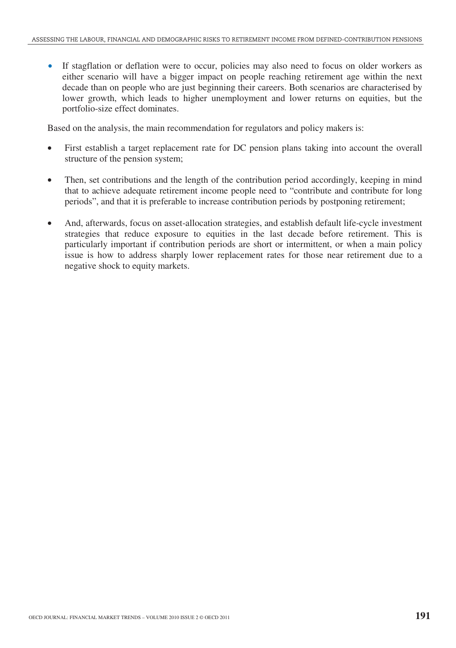If stagflation or deflation were to occur, policies may also need to focus on older workers as either scenario will have a bigger impact on people reaching retirement age within the next decade than on people who are just beginning their careers. Both scenarios are characterised by lower growth, which leads to higher unemployment and lower returns on equities, but the portfolio-size effect dominates.

Based on the analysis, the main recommendation for regulators and policy makers is:

- First establish a target replacement rate for DC pension plans taking into account the overall structure of the pension system;
- Then, set contributions and the length of the contribution period accordingly, keeping in mind that to achieve adequate retirement income people need to "contribute and contribute for long periods", and that it is preferable to increase contribution periods by postponing retirement;
- And, afterwards, focus on asset-allocation strategies, and establish default life-cycle investment strategies that reduce exposure to equities in the last decade before retirement. This is particularly important if contribution periods are short or intermittent, or when a main policy issue is how to address sharply lower replacement rates for those near retirement due to a negative shock to equity markets.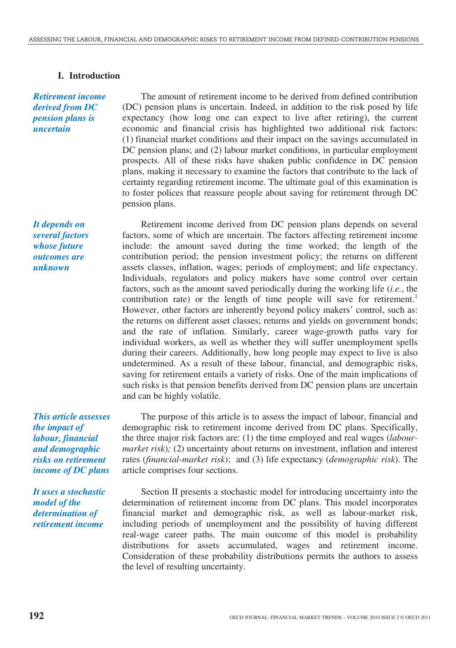# **I. Introduction**

*Retirement income derived from DC pension plans is uncertain* 

*It depends on several factors whose future outcomes are unknown*

The amount of retirement income to be derived from defined contribution (DC) pension plans is uncertain. Indeed, in addition to the risk posed by life expectancy (how long one can expect to live after retiring), the current economic and financial crisis has highlighted two additional risk factors: (1) financial market conditions and their impact on the savings accumulated in DC pension plans; and (2) labour market conditions, in particular employment prospects. All of these risks have shaken public confidence in DC pension plans, making it necessary to examine the factors that contribute to the lack of certainty regarding retirement income. The ultimate goal of this examination is to foster polices that reassure people about saving for retirement through DC pension plans.

Retirement income derived from DC pension plans depends on several factors, some of which are uncertain. The factors affecting retirement income include: the amount saved during the time worked; the length of the contribution period; the pension investment policy; the returns on different assets classes, inflation, wages; periods of employment; and life expectancy. Individuals, regulators and policy makers have some control over certain factors, such as the amount saved periodically during the working life (*i.e.*, the contribution rate) or the length of time people will save for retirement.<sup>1</sup> However, other factors are inherently beyond policy makers' control, such as: the returns on different asset classes; returns and yields on government bonds; and the rate of inflation. Similarly, career wage-growth paths vary for individual workers, as well as whether they will suffer unemployment spells during their careers. Additionally, how long people may expect to live is also undetermined. As a result of these labour, financial, and demographic risks, saving for retirement entails a variety of risks. One of the main implications of such risks is that pension benefits derived from DC pension plans are uncertain and can be highly volatile.

*This article assesses the impact of labour, financial and demographic risks on retirement income of DC plans* 

*It uses a stochastic model of the determination of retirement income* 

The purpose of this article is to assess the impact of labour, financial and demographic risk to retirement income derived from DC plans. Specifically, the three major risk factors are: (1) the time employed and real wages (*labourmarket risk*); (2) uncertainty about returns on investment, inflation and interest rates (*financial-market risk*); and (3) life expectancy (*demographic risk*). The article comprises four sections.

Section II presents a stochastic model for introducing uncertainty into the determination of retirement income from DC plans. This model incorporates financial market and demographic risk, as well as labour-market risk, including periods of unemployment and the possibility of having different real-wage career paths. The main outcome of this model is probability distributions for assets accumulated, wages and retirement income. Consideration of these probability distributions permits the authors to assess the level of resulting uncertainty.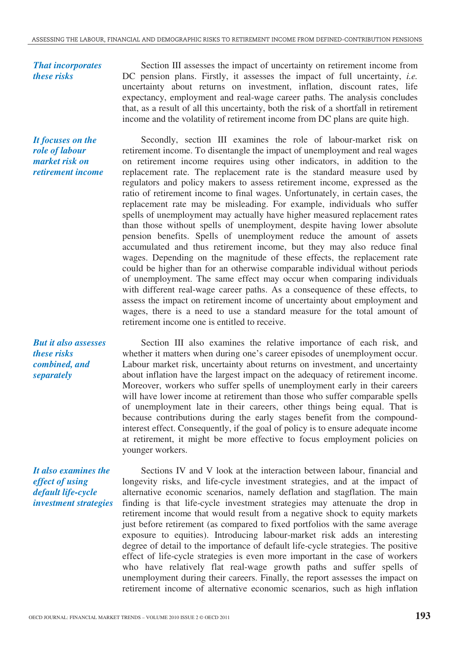*That incorporates these risks* 

*It focuses on the role of labour market risk on retirement income* 

*But it also assesses these risks combined, and separately* 

*It also examines the effect of using default life-cycle investment strategies* 

Section III assesses the impact of uncertainty on retirement income from DC pension plans. Firstly, it assesses the impact of full uncertainty, *i.e.* uncertainty about returns on investment, inflation, discount rates, life expectancy, employment and real-wage career paths. The analysis concludes that, as a result of all this uncertainty, both the risk of a shortfall in retirement income and the volatility of retirement income from DC plans are quite high.

Secondly, section III examines the role of labour-market risk on retirement income. To disentangle the impact of unemployment and real wages on retirement income requires using other indicators, in addition to the replacement rate. The replacement rate is the standard measure used by regulators and policy makers to assess retirement income, expressed as the ratio of retirement income to final wages. Unfortunately, in certain cases, the replacement rate may be misleading. For example, individuals who suffer spells of unemployment may actually have higher measured replacement rates than those without spells of unemployment, despite having lower absolute pension benefits. Spells of unemployment reduce the amount of assets accumulated and thus retirement income, but they may also reduce final wages. Depending on the magnitude of these effects, the replacement rate could be higher than for an otherwise comparable individual without periods of unemployment. The same effect may occur when comparing individuals with different real-wage career paths. As a consequence of these effects, to assess the impact on retirement income of uncertainty about employment and wages, there is a need to use a standard measure for the total amount of retirement income one is entitled to receive.

Section III also examines the relative importance of each risk, and whether it matters when during one's career episodes of unemployment occur. Labour market risk, uncertainty about returns on investment, and uncertainty about inflation have the largest impact on the adequacy of retirement income. Moreover, workers who suffer spells of unemployment early in their careers will have lower income at retirement than those who suffer comparable spells of unemployment late in their careers, other things being equal. That is because contributions during the early stages benefit from the compoundinterest effect. Consequently, if the goal of policy is to ensure adequate income at retirement, it might be more effective to focus employment policies on younger workers.

Sections IV and V look at the interaction between labour, financial and longevity risks, and life-cycle investment strategies, and at the impact of alternative economic scenarios, namely deflation and stagflation. The main finding is that life-cycle investment strategies may attenuate the drop in retirement income that would result from a negative shock to equity markets just before retirement (as compared to fixed portfolios with the same average exposure to equities). Introducing labour-market risk adds an interesting degree of detail to the importance of default life-cycle strategies. The positive effect of life-cycle strategies is even more important in the case of workers who have relatively flat real-wage growth paths and suffer spells of unemployment during their careers. Finally, the report assesses the impact on retirement income of alternative economic scenarios, such as high inflation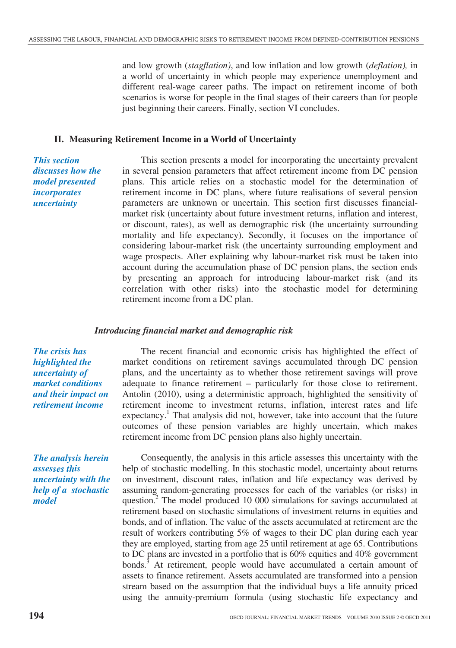and low growth (*stagflation)*, and low inflation and low growth (*deflation),* in a world of uncertainty in which people may experience unemployment and different real-wage career paths. The impact on retirement income of both scenarios is worse for people in the final stages of their careers than for people just beginning their careers. Finally, section VI concludes.

#### **II. Measuring Retirement Income in a World of Uncertainty**

*This section discusses how the model presented incorporates uncertainty* 

This section presents a model for incorporating the uncertainty prevalent in several pension parameters that affect retirement income from DC pension plans. This article relies on a stochastic model for the determination of retirement income in DC plans, where future realisations of several pension parameters are unknown or uncertain. This section first discusses financialmarket risk (uncertainty about future investment returns, inflation and interest, or discount, rates), as well as demographic risk (the uncertainty surrounding mortality and life expectancy). Secondly, it focuses on the importance of considering labour-market risk (the uncertainty surrounding employment and wage prospects. After explaining why labour-market risk must be taken into account during the accumulation phase of DC pension plans, the section ends by presenting an approach for introducing labour-market risk (and its correlation with other risks) into the stochastic model for determining retirement income from a DC plan.

## *Introducing financial market and demographic risk*

*The crisis has highlighted the uncertainty of market conditions and their impact on retirement income* 

*The analysis herein assesses this uncertainty with the help of a stochastic model* 

The recent financial and economic crisis has highlighted the effect of market conditions on retirement savings accumulated through DC pension plans, and the uncertainty as to whether those retirement savings will prove adequate to finance retirement – particularly for those close to retirement. Antolin (2010), using a deterministic approach, highlighted the sensitivity of retirement income to investment returns, inflation, interest rates and life expectancy.<sup>1</sup> That analysis did not, however, take into account that the future outcomes of these pension variables are highly uncertain, which makes retirement income from DC pension plans also highly uncertain.

Consequently, the analysis in this article assesses this uncertainty with the help of stochastic modelling. In this stochastic model, uncertainty about returns on investment, discount rates, inflation and life expectancy was derived by assuming random-generating processes for each of the variables (or risks) in question.<sup>2</sup> The model produced 10 000 simulations for savings accumulated at retirement based on stochastic simulations of investment returns in equities and bonds, and of inflation. The value of the assets accumulated at retirement are the result of workers contributing 5% of wages to their DC plan during each year they are employed, starting from age 25 until retirement at age 65. Contributions to DC plans are invested in a portfolio that is 60% equities and 40% government bonds.<sup>3</sup> At retirement, people would have accumulated a certain amount of assets to finance retirement. Assets accumulated are transformed into a pension stream based on the assumption that the individual buys a life annuity priced using the annuity-premium formula (using stochastic life expectancy and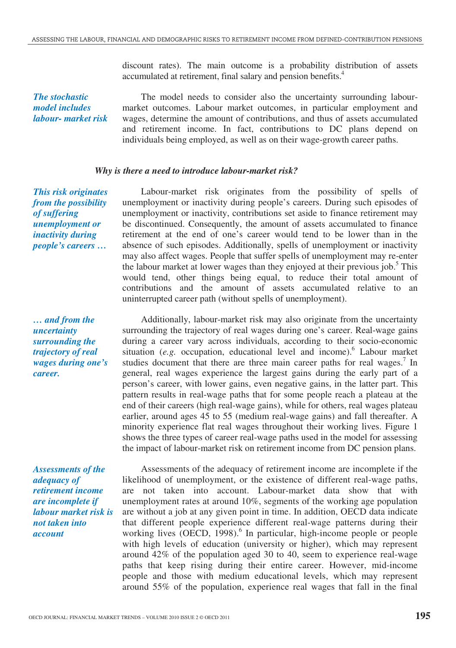discount rates). The main outcome is a probability distribution of assets accumulated at retirement, final salary and pension benefits.4

*The stochastic model includes labour- market risk* 

The model needs to consider also the uncertainty surrounding labourmarket outcomes. Labour market outcomes, in particular employment and wages, determine the amount of contributions, and thus of assets accumulated and retirement income. In fact, contributions to DC plans depend on individuals being employed, as well as on their wage-growth career paths.

#### *Why is there a need to introduce labour-market risk?*

*This risk originates from the possibility of suffering unemployment or inactivity during people's careers …* 

*… and from the uncertainty surrounding the trajectory of real wages during one's career.* 

*Assessments of the adequacy of retirement income are incomplete if labour market risk is not taken into account* 

Labour-market risk originates from the possibility of spells of unemployment or inactivity during people's careers. During such episodes of unemployment or inactivity, contributions set aside to finance retirement may be discontinued. Consequently, the amount of assets accumulated to finance retirement at the end of one's career would tend to be lower than in the absence of such episodes. Additionally, spells of unemployment or inactivity may also affect wages. People that suffer spells of unemployment may re-enter the labour market at lower wages than they enjoyed at their previous job.<sup>5</sup> This would tend, other things being equal, to reduce their total amount of contributions and the amount of assets accumulated relative to an uninterrupted career path (without spells of unemployment).

Additionally, labour-market risk may also originate from the uncertainty surrounding the trajectory of real wages during one's career. Real-wage gains during a career vary across individuals, according to their socio-economic situation (e.g. occupation, educational level and income).<sup>6</sup> Labour market studies document that there are three main career paths for real wages.<sup>7</sup> In general, real wages experience the largest gains during the early part of a person's career, with lower gains, even negative gains, in the latter part. This pattern results in real-wage paths that for some people reach a plateau at the end of their careers (high real-wage gains), while for others, real wages plateau earlier, around ages 45 to 55 (medium real-wage gains) and fall thereafter. A minority experience flat real wages throughout their working lives. Figure 1 shows the three types of career real-wage paths used in the model for assessing the impact of labour-market risk on retirement income from DC pension plans.

Assessments of the adequacy of retirement income are incomplete if the likelihood of unemployment, or the existence of different real-wage paths, are not taken into account. Labour-market data show that with unemployment rates at around 10%, segments of the working age population are without a job at any given point in time. In addition, OECD data indicate that different people experience different real-wage patterns during their working lives (OECD, 1998).<sup>6</sup> In particular, high-income people or people with high levels of education (university or higher), which may represent around 42% of the population aged 30 to 40, seem to experience real-wage paths that keep rising during their entire career. However, mid-income people and those with medium educational levels, which may represent around 55% of the population, experience real wages that fall in the final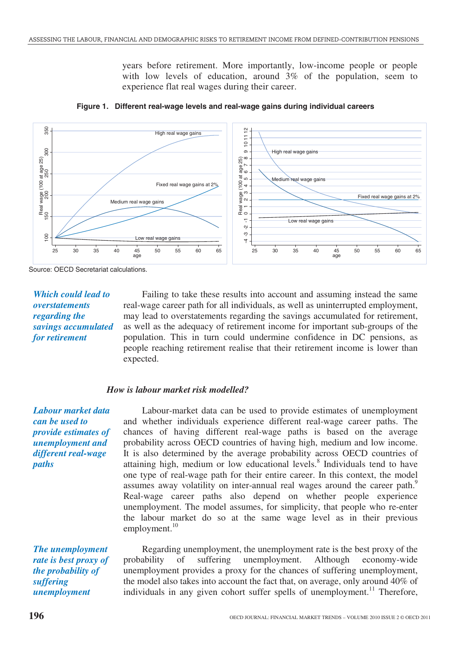years before retirement. More importantly, low-income people or people with low levels of education, around 3% of the population, seem to experience flat real wages during their career.





Source: OECD Secretariat calculations.

# *Which could lead to overstatements regarding the savings accumulated for retirement*

Failing to take these results into account and assuming instead the same real-wage career path for all individuals, as well as uninterrupted employment, may lead to overstatements regarding the savings accumulated for retirement, as well as the adequacy of retirement income for important sub-groups of the population. This in turn could undermine confidence in DC pensions, as people reaching retirement realise that their retirement income is lower than expected.

#### *How is labour market risk modelled?*

*Labour market data can be used to provide estimates of unemployment and different real-wage paths* 

Labour-market data can be used to provide estimates of unemployment and whether individuals experience different real-wage career paths. The chances of having different real-wage paths is based on the average probability across OECD countries of having high, medium and low income. It is also determined by the average probability across OECD countries of attaining high, medium or low educational levels.<sup>8</sup> Individuals tend to have one type of real-wage path for their entire career. In this context, the model assumes away volatility on inter-annual real wages around the career path.<sup>9</sup> Real-wage career paths also depend on whether people experience unemployment. The model assumes, for simplicity, that people who re-enter the labour market do so at the same wage level as in their previous employment. $10$ 

*The unemployment rate is best proxy of the probability of suffering unemployment* 

Regarding unemployment, the unemployment rate is the best proxy of the probability of suffering unemployment. Although economy-wide unemployment provides a proxy for the chances of suffering unemployment, the model also takes into account the fact that, on average, only around 40% of individuals in any given cohort suffer spells of unemployment.<sup>11</sup> Therefore,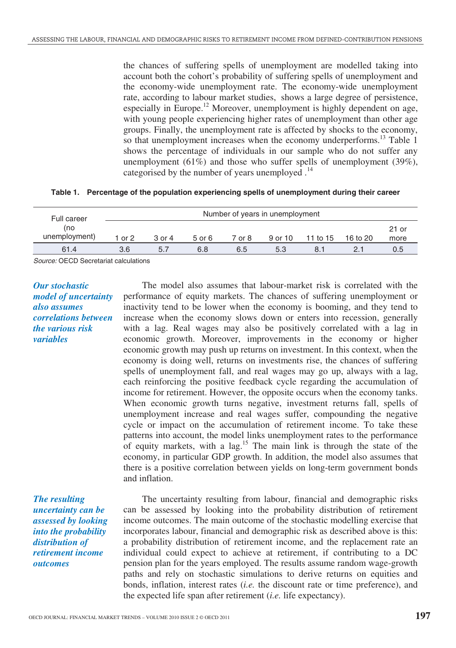the chances of suffering spells of unemployment are modelled taking into account both the cohort's probability of suffering spells of unemployment and the economy-wide unemployment rate. The economy-wide unemployment rate, according to labour market studies, shows a large degree of persistence, especially in Europe.<sup>12</sup> Moreover, unemployment is highly dependent on age, with young people experiencing higher rates of unemployment than other age groups. Finally, the unemployment rate is affected by shocks to the economy, so that unemployment increases when the economy underperforms.<sup>13</sup> Table 1 shows the percentage of individuals in our sample who do not suffer any unemployment (61%) and those who suffer spells of unemployment (39%), categorised by the number of years unemployed  $^{14}$ 

|  |  |  |  |  | Table 1. Percentage of the population experiencing spells of unemployment during their career |  |  |
|--|--|--|--|--|-----------------------------------------------------------------------------------------------|--|--|
|--|--|--|--|--|-----------------------------------------------------------------------------------------------|--|--|

| <b>Full career</b>   | Number of years in unemployment |        |        |        |         |          |          |               |  |  |
|----------------------|---------------------------------|--------|--------|--------|---------|----------|----------|---------------|--|--|
| (no<br>unemployment) | 1 or 2                          | 3 or 4 | 5 or 6 | 7 or 8 | 9 or 10 | 11 to 15 | 16 to 20 | 21 or<br>more |  |  |
| 61.4                 | 3.6                             | 5.7    | 6.8    | 6.5    | 5.3     | 8.1      |          | 0.5           |  |  |

Source: OECD Secretariat calculations

*Our stochastic model of uncertainty also assumes correlations between the various risk variables* 

The model also assumes that labour-market risk is correlated with the performance of equity markets. The chances of suffering unemployment or inactivity tend to be lower when the economy is booming, and they tend to increase when the economy slows down or enters into recession, generally with a lag. Real wages may also be positively correlated with a lag in economic growth. Moreover, improvements in the economy or higher economic growth may push up returns on investment. In this context, when the economy is doing well, returns on investments rise, the chances of suffering spells of unemployment fall, and real wages may go up, always with a lag, each reinforcing the positive feedback cycle regarding the accumulation of income for retirement. However, the opposite occurs when the economy tanks. When economic growth turns negative, investment returns fall, spells of unemployment increase and real wages suffer, compounding the negative cycle or impact on the accumulation of retirement income. To take these patterns into account, the model links unemployment rates to the performance of equity markets, with a  $\log$ <sup>15</sup> The main link is through the state of the economy, in particular GDP growth. In addition, the model also assumes that there is a positive correlation between yields on long-term government bonds and inflation.

*The resulting uncertainty can be assessed by looking into the probability distribution of retirement income outcomes* 

The uncertainty resulting from labour, financial and demographic risks can be assessed by looking into the probability distribution of retirement income outcomes. The main outcome of the stochastic modelling exercise that incorporates labour, financial and demographic risk as described above is this: a probability distribution of retirement income, and the replacement rate an individual could expect to achieve at retirement, if contributing to a DC pension plan for the years employed. The results assume random wage-growth paths and rely on stochastic simulations to derive returns on equities and bonds, inflation, interest rates (*i.e.* the discount rate or time preference), and the expected life span after retirement (*i.e.* life expectancy).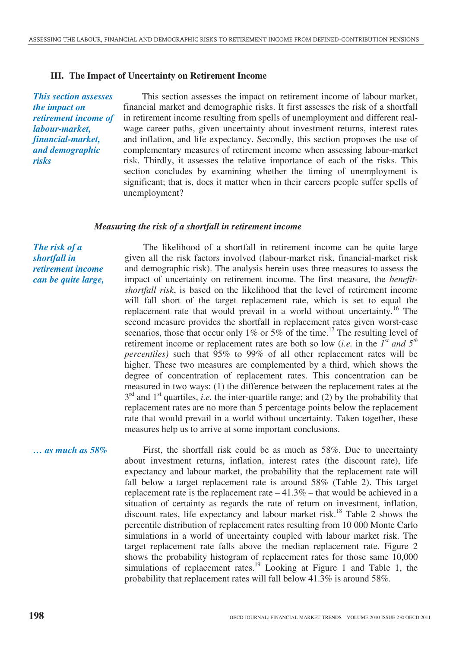#### **III. The Impact of Uncertainty on Retirement Income**

*This section assesses the impact on retirement income of labour-market, financial-market, and demographic risks* 

This section assesses the impact on retirement income of labour market, financial market and demographic risks. It first assesses the risk of a shortfall in retirement income resulting from spells of unemployment and different realwage career paths, given uncertainty about investment returns, interest rates and inflation, and life expectancy. Secondly, this section proposes the use of complementary measures of retirement income when assessing labour-market risk. Thirdly, it assesses the relative importance of each of the risks. This section concludes by examining whether the timing of unemployment is significant; that is, does it matter when in their careers people suffer spells of unemployment?

#### *Measuring the risk of a shortfall in retirement income*

*The risk of a shortfall in retirement income can be quite large,* 

The likelihood of a shortfall in retirement income can be quite large given all the risk factors involved (labour-market risk, financial-market risk and demographic risk). The analysis herein uses three measures to assess the impact of uncertainty on retirement income. The first measure, the *benefitshortfall risk*, is based on the likelihood that the level of retirement income will fall short of the target replacement rate, which is set to equal the replacement rate that would prevail in a world without uncertainty.<sup>16</sup> The second measure provides the shortfall in replacement rates given worst-case scenarios, those that occur only 1% or 5% of the time.<sup>17</sup> The resulting level of retirement income or replacement rates are both so low (*i.e.* in the *1st and 5th percentiles)* such that 95% to 99% of all other replacement rates will be higher. These two measures are complemented by a third, which shows the degree of concentration of replacement rates. This concentration can be measured in two ways: (1) the difference between the replacement rates at the 3<sup>rd</sup> and 1<sup>st</sup> quartiles, *i.e.* the inter-quartile range; and (2) by the probability that replacement rates are no more than 5 percentage points below the replacement rate that would prevail in a world without uncertainty. Taken together, these measures help us to arrive at some important conclusions.

*… as much as 58%* First, the shortfall risk could be as much as 58%. Due to uncertainty about investment returns, inflation, interest rates (the discount rate), life expectancy and labour market, the probability that the replacement rate will fall below a target replacement rate is around 58% (Table 2). This target replacement rate is the replacement rate  $-41.3%$  – that would be achieved in a situation of certainty as regards the rate of return on investment, inflation, discount rates, life expectancy and labour market risk.<sup>18</sup> Table 2 shows the percentile distribution of replacement rates resulting from 10 000 Monte Carlo simulations in a world of uncertainty coupled with labour market risk. The target replacement rate falls above the median replacement rate. Figure 2 shows the probability histogram of replacement rates for those same 10,000 simulations of replacement rates.<sup>19</sup> Looking at Figure 1 and Table 1, the probability that replacement rates will fall below 41.3% is around 58%.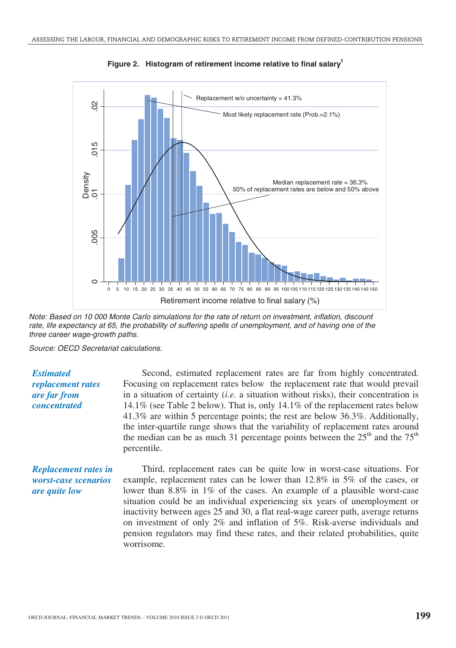

Figure 2. Histogram of retirement income relative to final salary<sup>1</sup>

Note: Based on 10 000 Monte Carlo simulations for the rate of return on investment, inflation, discount rate, life expectancy at 65, the probability of suffering spells of unemployment, and of having one of the three career wage-growth paths.

Source: OECD Secretariat calculations.

*Estimated replacement rates are far from concentrated* 

Second, estimated replacement rates are far from highly concentrated. Focusing on replacement rates below the replacement rate that would prevail in a situation of certainty (*i.e.* a situation without risks), their concentration is 14.1% (see Table 2 below). That is, only 14.1% of the replacement rates below 41.3% are within 5 percentage points; the rest are below 36.3%. Additionally, the inter-quartile range shows that the variability of replacement rates around the median can be as much 31 percentage points between the  $25<sup>th</sup>$  and the  $75<sup>th</sup>$ percentile.

*Replacement rates in worst-case scenarios are quite low* 

Third, replacement rates can be quite low in worst-case situations. For example, replacement rates can be lower than 12.8% in 5% of the cases, or lower than 8.8% in 1% of the cases. An example of a plausible worst-case situation could be an individual experiencing six years of unemployment or inactivity between ages 25 and 30, a flat real-wage career path, average returns on investment of only 2% and inflation of 5%. Risk-averse individuals and pension regulators may find these rates, and their related probabilities, quite worrisome.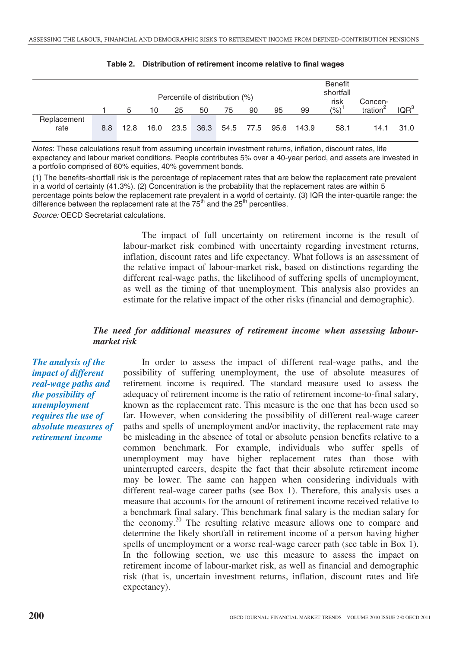|                     |     |      |    |           |      | Percentile of distribution (%) |    |    |                      | <b>Benefit</b><br>shortfall<br>risk | Concen-     |                  |
|---------------------|-----|------|----|-----------|------|--------------------------------|----|----|----------------------|-------------------------------------|-------------|------------------|
|                     |     | 5    | 10 | 25        | 50   | 75                             | 90 | 95 | 99                   | (%)                                 | tration $2$ | IQR <sup>3</sup> |
| Replacement<br>rate | 8.8 | 12.8 |    | 16.0 23.5 | 36.3 |                                |    |    | 54.5 77.5 95.6 143.9 | 58.1                                | 14.1        | 31.0             |

|  | Table 2. Distribution of retirement income relative to final wages |  |  |  |  |  |
|--|--------------------------------------------------------------------|--|--|--|--|--|
|--|--------------------------------------------------------------------|--|--|--|--|--|

Notes: These calculations result from assuming uncertain investment returns, inflation, discount rates, life expectancy and labour market conditions. People contributes 5% over a 40-year period, and assets are invested in a portfolio comprised of 60% equities, 40% government bonds.

(1) The benefits-shortfall risk is the percentage of replacement rates that are below the replacement rate prevalent in a world of certainty (41.3%). (2) Concentration is the probability that the replacement rates are within 5 percentage points below the replacement rate prevalent in a world of certainty. (3) IQR the inter-quartile range: the difference between the replacement rate at the  $75<sup>th</sup>$  and the  $25<sup>th</sup>$  percentiles.

Source: OECD Secretariat calculations.

The impact of full uncertainty on retirement income is the result of labour-market risk combined with uncertainty regarding investment returns, inflation, discount rates and life expectancy. What follows is an assessment of the relative impact of labour-market risk, based on distinctions regarding the different real-wage paths, the likelihood of suffering spells of unemployment, as well as the timing of that unemployment. This analysis also provides an estimate for the relative impact of the other risks (financial and demographic).

# *The need for additional measures of retirement income when assessing labourmarket risk*

*The analysis of the impact of different real-wage paths and the possibility of unemployment requires the use of absolute measures of retirement income* 

In order to assess the impact of different real-wage paths, and the possibility of suffering unemployment, the use of absolute measures of retirement income is required. The standard measure used to assess the adequacy of retirement income is the ratio of retirement income-to-final salary, known as the replacement rate. This measure is the one that has been used so far. However, when considering the possibility of different real-wage career paths and spells of unemployment and/or inactivity, the replacement rate may be misleading in the absence of total or absolute pension benefits relative to a common benchmark. For example, individuals who suffer spells of unemployment may have higher replacement rates than those with uninterrupted careers, despite the fact that their absolute retirement income may be lower. The same can happen when considering individuals with different real-wage career paths (see Box 1). Therefore, this analysis uses a measure that accounts for the amount of retirement income received relative to a benchmark final salary. This benchmark final salary is the median salary for the economy.20 The resulting relative measure allows one to compare and determine the likely shortfall in retirement income of a person having higher spells of unemployment or a worse real-wage career path (see table in Box 1). In the following section, we use this measure to assess the impact on retirement income of labour-market risk, as well as financial and demographic risk (that is, uncertain investment returns, inflation, discount rates and life expectancy).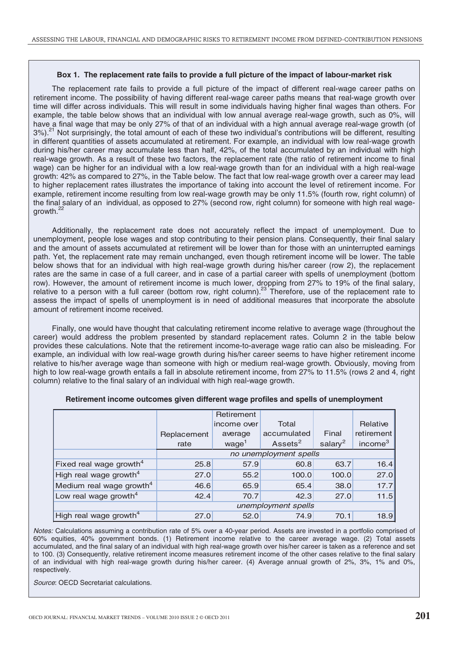#### **Box 1. The replacement rate fails to provide a full picture of the impact of labour-market risk**

The replacement rate fails to provide a full picture of the impact of different real-wage career paths on retirement income. The possibility of having different real-wage career paths means that real-wage growth over time will differ across individuals. This will result in some individuals having higher final wages than others. For example, the table below shows that an individual with low annual average real-wage growth, such as 0%, will have a final wage that may be only 27% of that of an individual with a high annual average real-wage growth (of 3%).<sup>21</sup> Not surprisingly, the total amount of each of these two individual's contributions will be different, resulting in different quantities of assets accumulated at retirement. For example, an individual with low real-wage growth during his/her career may accumulate less than half, 42%, of the total accumulated by an individual with high real-wage growth. As a result of these two factors, the replacement rate (the ratio of retirement income to final wage) can be higher for an individual with a low real-wage growth than for an individual with a high real-wage growth: 42% as compared to 27%, in the Table below. The fact that low real-wage growth over a career may lead to higher replacement rates illustrates the importance of taking into account the level of retirement income. For example, retirement income resulting from low real-wage growth may be only 11.5% (fourth row, right column) of the final salary of an individual, as opposed to 27% (second row, right column) for someone with high real wagegrowth.<sup>22</sup>

Additionally, the replacement rate does not accurately reflect the impact of unemployment. Due to unemployment, people lose wages and stop contributing to their pension plans. Consequently, their final salary and the amount of assets accumulated at retirement will be lower than for those with an uninterrupted earnings path. Yet, the replacement rate may remain unchanged, even though retirement income will be lower. The table below shows that for an individual with high real-wage growth during his/her career (row 2), the replacement rates are the same in case of a full career, and in case of a partial career with spells of unemployment (bottom row). However, the amount of retirement income is much lower, dropping from 27% to 19% of the final salary, relative to a person with a full career (bottom row, right column).<sup>23</sup> Therefore, use of the replacement rate to assess the impact of spells of unemployment is in need of additional measures that incorporate the absolute amount of retirement income received.

Finally, one would have thought that calculating retirement income relative to average wage (throughout the career) would address the problem presented by standard replacement rates. Column 2 in the table below provides these calculations. Note that the retirement income-to-average wage ratio can also be misleading. For example, an individual with low real-wage growth during his/her career seems to have higher retirement income relative to his/her average wage than someone with high or medium real-wage growth. Obviously, moving from high to low real-wage growth entails a fall in absolute retirement income, from 27% to 11.5% (rows 2 and 4, right column) relative to the final salary of an individual with high real-wage growth.

|                                      |                        | Retirement        |                     |                     |                     |  |  |
|--------------------------------------|------------------------|-------------------|---------------------|---------------------|---------------------|--|--|
|                                      |                        | income over       | Total               |                     | Relative            |  |  |
|                                      | Replacement            | average           | accumulated         | Final               | retirement          |  |  |
|                                      | rate                   | wage <sup>1</sup> | Assets <sup>2</sup> | salary <sup>2</sup> | income <sup>3</sup> |  |  |
|                                      | no unemployment spells |                   |                     |                     |                     |  |  |
| Fixed real wage growth <sup>4</sup>  | 25.8                   | 57.9              | 60.8                | 63.7                | 16.4                |  |  |
| High real wage growth <sup>4</sup>   | 27.0                   | 55.2              | 100.0               | 100.0               | 27.0                |  |  |
| Medium real wage growth <sup>4</sup> | 46.6                   | 65.9              | 65.4                | 38.0                | 17.7                |  |  |
| Low real wage growth $4$             | 42.4                   | 70.7              | 42.3                | 27.0                | 11.5                |  |  |
|                                      | unemployment spells    |                   |                     |                     |                     |  |  |
| High real wage growth <sup>4</sup>   | 27.0                   | 52.0              | 74.9                | 70.1                | 18.9                |  |  |

#### **Retirement income outcomes given different wage profiles and spells of unemployment**

Notes: Calculations assuming a contribution rate of 5% over a 40-year period. Assets are invested in a portfolio comprised of 60% equities, 40% government bonds. (1) Retirement income relative to the career average wage. (2) Total assets accumulated, and the final salary of an individual with high real-wage growth over his/her career is taken as a reference and set to 100. (3) Consequently, relative retirement income measures retirement income of the other cases relative to the final salary of an individual with high real-wage growth during his/her career. (4) Average annual growth of 2%, 3%, 1% and 0%, respectively.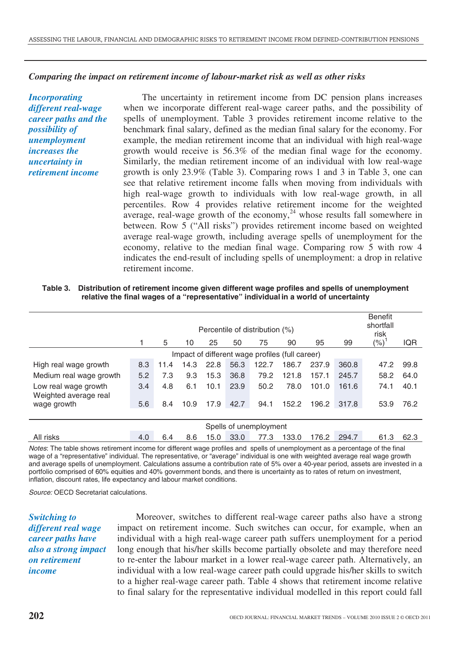### *Comparing the impact on retirement income of labour-market risk as well as other risks*

*Incorporating different real-wage career paths and the possibility of unemployment increases the uncertainty in retirement income* 

The uncertainty in retirement income from DC pension plans increases when we incorporate different real-wage career paths, and the possibility of spells of unemployment. Table 3 provides retirement income relative to the benchmark final salary, defined as the median final salary for the economy. For example, the median retirement income that an individual with high real-wage growth would receive is 56.3% of the median final wage for the economy. Similarly, the median retirement income of an individual with low real-wage growth is only 23.9% (Table 3). Comparing rows 1 and 3 in Table 3, one can see that relative retirement income falls when moving from individuals with high real-wage growth to individuals with low real-wage growth, in all percentiles. Row 4 provides relative retirement income for the weighted average, real-wage growth of the economy,<sup>24</sup> whose results fall somewhere in between. Row 5 ("All risks") provides retirement income based on weighted average real-wage growth, including average spells of unemployment for the economy, relative to the median final wage. Comparing row 5 with row 4 indicates the end-result of including spells of unemployment: a drop in relative retirement income.

**Table 3. Distribution of retirement income given different wage profiles and spells of unemployment relative the final wages of a "representative" individual in a world of uncertainty**

|                                               |                                                 |      |      |      |      | Percentile of distribution (%) |       |       |       | <b>Benefit</b><br>shortfall<br>risk |            |
|-----------------------------------------------|-------------------------------------------------|------|------|------|------|--------------------------------|-------|-------|-------|-------------------------------------|------------|
|                                               |                                                 | 5    | 10   | 25   | 50   | 75                             | 90    | 95    | 99    | $(\% )$                             | <b>IQR</b> |
|                                               | Impact of different wage profiles (full career) |      |      |      |      |                                |       |       |       |                                     |            |
| High real wage growth                         | 8.3                                             | 11.4 | 14.3 | 22.8 | 56.3 | 122.7                          | 186.7 | 237.9 | 360.8 | 47.2                                | 99.8       |
| Medium real wage growth                       | 5.2                                             | 7.3  | 9.3  | 15.3 | 36.8 | 79.2                           | 121.8 | 157.1 | 245.7 | 58.2                                | 64.0       |
| Low real wage growth<br>Weighted average real | 3.4                                             | 4.8  | 6.1  | 10.1 | 23.9 | 50.2                           | 78.0  | 101.0 | 161.6 | 74.1                                | 40.1       |
| wage growth                                   | 5.6                                             | 8.4  | 10.9 | 17.9 | 42.7 | 94.1                           | 152.2 | 196.2 | 317.8 | 53.9                                | 76.2       |
|                                               |                                                 |      |      |      |      |                                |       |       |       |                                     |            |
|                                               |                                                 |      |      |      |      | Spells of unemployment         |       |       |       |                                     |            |
| All risks                                     | 4.0                                             | 6.4  | 8.6  | 15.0 | 33.0 | 77.3                           | 133.0 | 176.2 | 294.7 | 61.3                                | 62.3       |

Notes: The table shows retirement income for different wage profiles and spells of unemployment as a percentage of the final wage of a "representative" individual. The representative, or "average" individual is one with weighted average real wage growth and average spells of unemployment. Calculations assume a contribution rate of 5% over a 40-year period, assets are invested in a portfolio comprised of 60% equities and 40% government bonds, and there is uncertainty as to rates of return on investment, inflation, discount rates, life expectancy and labour market conditions.

Source: OECD Secretariat calculations.

*Switching to different real wage career paths have also a strong impact on retirement income* 

Moreover, switches to different real-wage career paths also have a strong impact on retirement income. Such switches can occur, for example, when an individual with a high real-wage career path suffers unemployment for a period long enough that his/her skills become partially obsolete and may therefore need to re-enter the labour market in a lower real-wage career path. Alternatively, an individual with a low real-wage career path could upgrade his/her skills to switch to a higher real-wage career path. Table 4 shows that retirement income relative to final salary for the representative individual modelled in this report could fall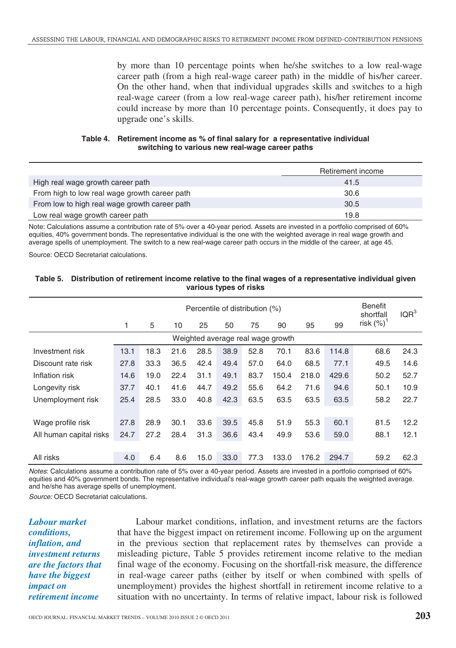by more than 10 percentage points when he/she switches to a low real-wage career path (from a high real-wage career path) in the middle of his/her career. On the other hand, when that individual upgrades skills and switches to a high real-wage career (from a low real-wage career path), his/her retirement income could increase by more than 10 percentage points. Consequently, it does pay to upgrade one's skills.

#### **Table 4. Retirement income as % of final salary for a representative individual switching to various new real-wage career paths**

|                                               | Retirement income |
|-----------------------------------------------|-------------------|
| High real wage growth career path             | 41.5              |
| From high to low real wage growth career path | 30.6              |
| From low to high real wage growth career path | 30.5              |
| Low real wage growth career path              | 19.8              |

Note: Calculations assume a contribution rate of 5% over a 40-year period. Assets are invested in a portfolio comprised of 60% equities, 40% government bonds. The representative individual is the one with the weighted average in real wage growth and average spells of unemployment. The switch to a new real-wage career path occurs in the middle of the career, at age 45.

Source: OECD Secretariat calculations.

#### **Table 5. Distribution of retirement income relative to the final wages of a representative individual given various types of risks**

| Percentile of distribution (%)    |      |      |      |      |      |      |       |       |       | <b>Benefit</b><br>shortfall | IQR <sup>3</sup> |
|-----------------------------------|------|------|------|------|------|------|-------|-------|-------|-----------------------------|------------------|
|                                   | 1    | 5    | 10   | 25   | 50   | 75   | 90    | 95    | 99    | risk $(\%)^1$               |                  |
| Weighted average real wage growth |      |      |      |      |      |      |       |       |       |                             |                  |
| Investment risk                   | 13.1 | 18.3 | 21.6 | 28.5 | 38.9 | 52.8 | 70.1  | 83.6  | 114.8 | 68.6                        | 24.3             |
| Discount rate risk                | 27.8 | 33.3 | 36.5 | 42.4 | 49.4 | 57.0 | 64.0  | 68.5  | 77.1  | 49.5                        | 14.6             |
| Inflation risk                    | 14.6 | 19.0 | 22.4 | 31.1 | 49.1 | 83.7 | 150.4 | 218.0 | 429.6 | 50.2                        | 52.7             |
| Longevity risk                    | 37.7 | 40.1 | 41.6 | 44.7 | 49.2 | 55.6 | 64.2  | 71.6  | 94.6  | 50.1                        | 10.9             |
| Unemployment risk                 | 25.4 | 28.5 | 33.0 | 40.8 | 42.3 | 63.5 | 63.5  | 63.5  | 63.5  | 58.2                        | 22.7             |
|                                   |      |      |      |      |      |      |       |       |       |                             |                  |
| Wage profile risk                 | 27.8 | 28.9 | 30.1 | 33.6 | 39.5 | 45.8 | 51.9  | 55.3  | 60.1  | 81.5                        | 12.2             |
| All human capital risks           | 24.7 | 27.2 | 28.4 | 31.3 | 36.6 | 43.4 | 49.9  | 53.6  | 59.0  | 88.1                        | 12.1             |
|                                   |      |      |      |      |      |      |       |       |       |                             |                  |
| All risks                         | 4.0  | 6.4  | 8.6  | 15.0 | 33.0 | 77.3 | 133.0 | 176.2 | 294.7 | 59.2                        | 62.3             |

Notes: Calculations assume a contribution rate of 5% over a 40-year period. Assets are invested in a portfolio comprised of 60% equities and 40% government bonds. The representative individual's real-wage growth career path equals the weighted average. and he/she has average spells of unemployment.

Source: OECD Secretariat calculations.

*Labour market conditions, inflation, and investment returns are the factors that have the biggest impact on retirement income* 

Labour market conditions, inflation, and investment returns are the factors that have the biggest impact on retirement income. Following up on the argument in the previous section that replacement rates by themselves can provide a misleading picture, Table 5 provides retirement income relative to the median final wage of the economy. Focusing on the shortfall-risk measure, the difference in real-wage career paths (either by itself or when combined with spells of unemployment) provides the highest shortfall in retirement income relative to a situation with no uncertainty. In terms of relative impact, labour risk is followed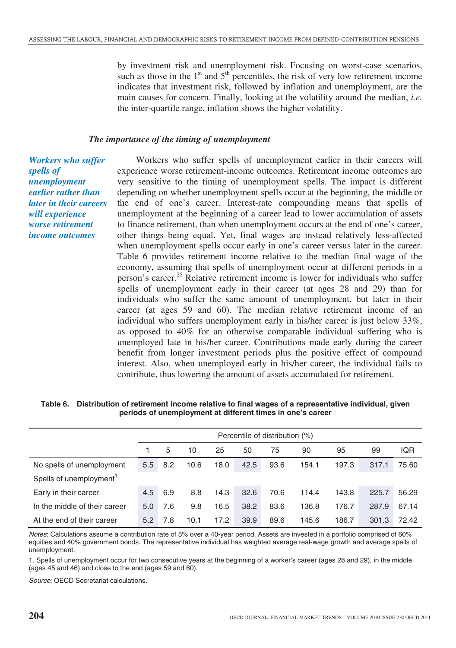by investment risk and unemployment risk. Focusing on worst-case scenarios, such as those in the  $1<sup>st</sup>$  and  $5<sup>th</sup>$  percentiles, the risk of very low retirement income indicates that investment risk, followed by inflation and unemployment, are the main causes for concern. Finally, looking at the volatility around the median, *i.e.* the inter-quartile range, inflation shows the higher volatility.

### *The importance of the timing of unemployment*

*Workers who suffer spells of unemployment earlier rather than later in their careers will experience worse retirement income outcomes* 

Workers who suffer spells of unemployment earlier in their careers will experience worse retirement-income outcomes. Retirement income outcomes are very sensitive to the timing of unemployment spells. The impact is different depending on whether unemployment spells occur at the beginning, the middle or the end of one's career. Interest-rate compounding means that spells of unemployment at the beginning of a career lead to lower accumulation of assets to finance retirement, than when unemployment occurs at the end of one's career, other things being equal. Yet, final wages are instead relatively less-affected when unemployment spells occur early in one's career versus later in the career. Table 6 provides retirement income relative to the median final wage of the economy, assuming that spells of unemployment occur at different periods in a person's career.25 Relative retirement income is lower for individuals who suffer spells of unemployment early in their career (at ages 28 and 29) than for individuals who suffer the same amount of unemployment, but later in their career (at ages 59 and 60). The median relative retirement income of an individual who suffers unemployment early in his/her career is just below 33%, as opposed to 40% for an otherwise comparable individual suffering who is unemployed late in his/her career. Contributions made early during the career benefit from longer investment periods plus the positive effect of compound interest. Also, when unemployed early in his/her career, the individual fails to contribute, thus lowering the amount of assets accumulated for retirement.

| Table 6. Distribution of retirement income relative to final wages of a representative individual, given |
|----------------------------------------------------------------------------------------------------------|
| periods of unemployment at different times in one's career                                               |

|                                     |     | Percentile of distribution (%) |      |      |      |      |       |       |       |            |
|-------------------------------------|-----|--------------------------------|------|------|------|------|-------|-------|-------|------------|
|                                     |     | 5                              | 10   | 25   | 50   | 75   | 90    | 95    | 99    | <b>IQR</b> |
| No spells of unemployment           | 5.5 | 8.2                            | 10.6 | 18.0 | 42.5 | 93.6 | 154.1 | 197.3 | 317.1 | 75.60      |
| Spells of unemployment <sup>1</sup> |     |                                |      |      |      |      |       |       |       |            |
| Early in their career               | 4.5 | 6.9                            | 8.8  | 14.3 | 32.6 | 70.6 | 114.4 | 143.8 | 225.7 | 56.29      |
| In the middle of their career       | 5.0 | 7.6                            | 9.8  | 16.5 | 38.2 | 83.6 | 136.8 | 176.7 | 287.9 | 67.14      |
| At the end of their career          | 5.2 | 7.8                            | 10.1 | 17.2 | 39.9 | 89.6 | 145.6 | 186.7 | 301.3 | 72.42      |

Notes: Calculations assume a contribution rate of 5% over a 40-year period. Assets are invested in a portfolio comprised of 60% equities and 40% government bonds. The representative individual has weighted average real-wage growth and average spells of unemployment.

1. Spells of unemployment occur for two consecutive years at the beginning of a worker's career (ages 28 and 29), in the middle (ages 45 and 46) and close to the end (ages 59 and 60).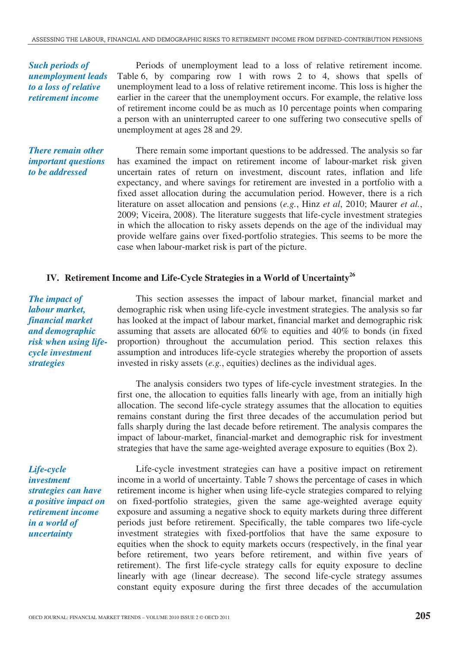*Such periods of unemployment leads to a loss of relative retirement income* 

Periods of unemployment lead to a loss of relative retirement income. Table 6, by comparing row 1 with rows 2 to 4, shows that spells of unemployment lead to a loss of relative retirement income. This loss is higher the earlier in the career that the unemployment occurs. For example, the relative loss of retirement income could be as much as 10 percentage points when comparing a person with an uninterrupted career to one suffering two consecutive spells of unemployment at ages 28 and 29.

*There remain other important questions to be addressed* 

There remain some important questions to be addressed. The analysis so far has examined the impact on retirement income of labour-market risk given uncertain rates of return on investment, discount rates, inflation and life expectancy, and where savings for retirement are invested in a portfolio with a fixed asset allocation during the accumulation period. However, there is a rich literature on asset allocation and pensions (*e.g.*, Hinz *et al*, 2010; Maurer *et al.*, 2009; Viceira, 2008). The literature suggests that life-cycle investment strategies in which the allocation to risky assets depends on the age of the individual may provide welfare gains over fixed-portfolio strategies. This seems to be more the case when labour-market risk is part of the picture.

# **IV. Retirement Income and Life-Cycle Strategies in a World of Uncertainty<sup>26</sup>**

*The impact of labour market, financial market and demographic risk when using lifecycle investment strategies* 

> The analysis considers two types of life-cycle investment strategies. In the first one, the allocation to equities falls linearly with age, from an initially high allocation. The second life-cycle strategy assumes that the allocation to equities remains constant during the first three decades of the accumulation period but falls sharply during the last decade before retirement. The analysis compares the impact of labour-market, financial-market and demographic risk for investment strategies that have the same age-weighted average exposure to equities (Box 2).

invested in risky assets (*e.g.*, equities) declines as the individual ages.

This section assesses the impact of labour market, financial market and demographic risk when using life-cycle investment strategies. The analysis so far has looked at the impact of labour market, financial market and demographic risk assuming that assets are allocated 60% to equities and 40% to bonds (in fixed proportion) throughout the accumulation period. This section relaxes this assumption and introduces life-cycle strategies whereby the proportion of assets

*Life-cycle investment strategies can have a positive impact on retirement income in a world of uncertainty* 

Life-cycle investment strategies can have a positive impact on retirement income in a world of uncertainty. Table 7 shows the percentage of cases in which retirement income is higher when using life-cycle strategies compared to relying on fixed-portfolio strategies, given the same age-weighted average equity exposure and assuming a negative shock to equity markets during three different periods just before retirement. Specifically, the table compares two life-cycle investment strategies with fixed-portfolios that have the same exposure to equities when the shock to equity markets occurs (respectively, in the final year before retirement, two years before retirement, and within five years of retirement). The first life-cycle strategy calls for equity exposure to decline linearly with age (linear decrease). The second life-cycle strategy assumes constant equity exposure during the first three decades of the accumulation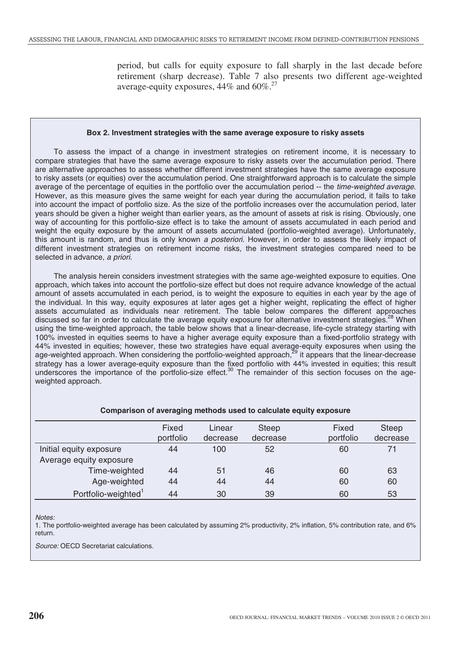period, but calls for equity exposure to fall sharply in the last decade before retirement (sharp decrease). Table 7 also presents two different age-weighted average-equity exposures,  $44\%$  and  $60\%$ .<sup>27</sup>

#### **Box 2. Investment strategies with the same average exposure to risky assets**

To assess the impact of a change in investment strategies on retirement income, it is necessary to compare strategies that have the same average exposure to risky assets over the accumulation period. There are alternative approaches to assess whether different investment strategies have the same average exposure to risky assets (or equities) over the accumulation period. One straightforward approach is to calculate the simple average of the percentage of equities in the portfolio over the accumulation period -- the time-weighted average. However, as this measure gives the same weight for each year during the accumulation period, it fails to take into account the impact of portfolio size. As the size of the portfolio increases over the accumulation period, later years should be given a higher weight than earlier years, as the amount of assets at risk is rising. Obviously, one way of accounting for this portfolio-size effect is to take the amount of assets accumulated in each period and weight the equity exposure by the amount of assets accumulated (portfolio-weighted average). Unfortunately, this amount is random, and thus is only known a posteriori. However, in order to assess the likely impact of different investment strategies on retirement income risks, the investment strategies compared need to be selected in advance, a priori.

The analysis herein considers investment strategies with the same age-weighted exposure to equities. One approach, which takes into account the portfolio-size effect but does not require advance knowledge of the actual amount of assets accumulated in each period, is to weight the exposure to equities in each year by the age of the individual. In this way, equity exposures at later ages get a higher weight, replicating the effect of higher assets accumulated as individuals near retirement. The table below compares the different approaches discussed so far in order to calculate the average equity exposure for alternative investment strategies.<sup>28</sup> When using the time-weighted approach, the table below shows that a linear-decrease, life-cycle strategy starting with 100% invested in equities seems to have a higher average equity exposure than a fixed-portfolio strategy with 44% invested in equities; however, these two strategies have equal average-equity exposures when using the age-weighted approach. When considering the portfolio-weighted approach,<sup>29</sup> it appears that the linear-decrease strategy has a lower average-equity exposure than the fixed portfolio with 44% invested in equities; this result underscores the importance of the portfolio-size effect.<sup>30</sup> The remainder of this section focuses on the ageweighted approach.

|                                 | Fixed<br>portfolio | Linear<br>decrease | <b>Steep</b><br>decrease | Fixed<br>portfolio | <b>Steep</b><br>decrease |
|---------------------------------|--------------------|--------------------|--------------------------|--------------------|--------------------------|
| Initial equity exposure         | 44                 | 100                | 52                       | 60                 | 71                       |
| Average equity exposure         |                    |                    |                          |                    |                          |
| Time-weighted                   | 44                 | 51                 | 46                       | 60                 | 63                       |
| Age-weighted                    | 44                 | 44                 | 44                       | 60                 | 60                       |
| Portfolio-weighted <sup>1</sup> | 44                 | 30                 | 39                       | 60                 | 53                       |

#### **Comparison of averaging methods used to calculate equity exposure**

Notes:

1. The portfolio-weighted average has been calculated by assuming 2% productivity, 2% inflation, 5% contribution rate, and 6% return.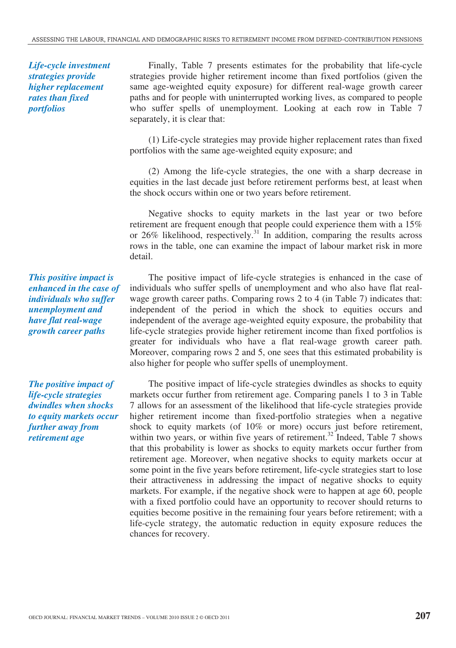*Life-cycle investment strategies provide higher replacement rates than fixed portfolios* 

Finally, Table 7 presents estimates for the probability that life-cycle strategies provide higher retirement income than fixed portfolios (given the same age-weighted equity exposure) for different real-wage growth career paths and for people with uninterrupted working lives, as compared to people who suffer spells of unemployment. Looking at each row in Table 7 separately, it is clear that:

(1) Life-cycle strategies may provide higher replacement rates than fixed portfolios with the same age-weighted equity exposure; and

(2) Among the life-cycle strategies, the one with a sharp decrease in equities in the last decade just before retirement performs best, at least when the shock occurs within one or two years before retirement.

Negative shocks to equity markets in the last year or two before retirement are frequent enough that people could experience them with a 15% or  $26\%$  likelihood, respectively.<sup>31</sup> In addition, comparing the results across rows in the table, one can examine the impact of labour market risk in more detail.

The positive impact of life-cycle strategies is enhanced in the case of individuals who suffer spells of unemployment and who also have flat realwage growth career paths. Comparing rows 2 to 4 (in Table 7) indicates that: independent of the period in which the shock to equities occurs and independent of the average age-weighted equity exposure, the probability that life-cycle strategies provide higher retirement income than fixed portfolios is greater for individuals who have a flat real-wage growth career path. Moreover, comparing rows 2 and 5, one sees that this estimated probability is also higher for people who suffer spells of unemployment.

The positive impact of life-cycle strategies dwindles as shocks to equity markets occur further from retirement age. Comparing panels 1 to 3 in Table 7 allows for an assessment of the likelihood that life-cycle strategies provide higher retirement income than fixed-portfolio strategies when a negative shock to equity markets (of 10% or more) occurs just before retirement, within two years, or within five years of retirement.<sup>32</sup> Indeed, Table 7 shows that this probability is lower as shocks to equity markets occur further from retirement age. Moreover, when negative shocks to equity markets occur at some point in the five years before retirement, life-cycle strategies start to lose their attractiveness in addressing the impact of negative shocks to equity markets. For example, if the negative shock were to happen at age 60, people with a fixed portfolio could have an opportunity to recover should returns to equities become positive in the remaining four years before retirement; with a life-cycle strategy, the automatic reduction in equity exposure reduces the chances for recovery.

*This positive impact is enhanced in the case of individuals who suffer unemployment and have flat real-wage growth career paths* 

*The positive impact of life-cycle strategies dwindles when shocks to equity markets occur further away from retirement age*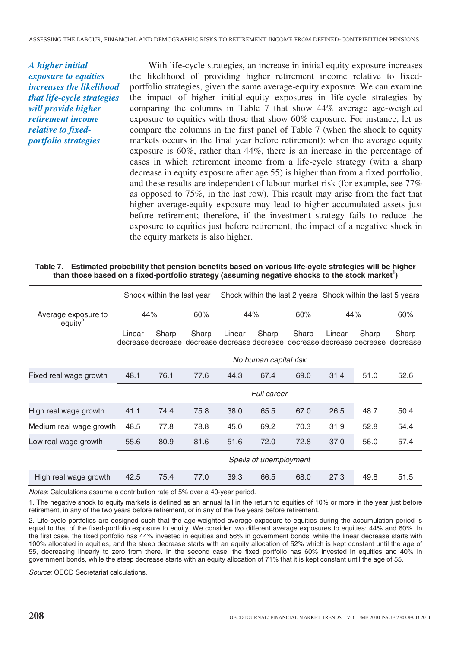*A higher initial exposure to equities increases the likelihood that life-cycle strategies will provide higher retirement income relative to fixedportfolio strategies* 

With life-cycle strategies, an increase in initial equity exposure increases the likelihood of providing higher retirement income relative to fixedportfolio strategies, given the same average-equity exposure. We can examine the impact of higher initial-equity exposures in life-cycle strategies by comparing the columns in Table 7 that show 44% average age-weighted exposure to equities with those that show 60% exposure. For instance, let us compare the columns in the first panel of Table 7 (when the shock to equity markets occurs in the final year before retirement): when the average equity exposure is 60%, rather than 44%, there is an increase in the percentage of cases in which retirement income from a life-cycle strategy (with a sharp decrease in equity exposure after age 55) is higher than from a fixed portfolio; and these results are independent of labour-market risk (for example, see 77% as opposed to 75%, in the last row). This result may arise from the fact that higher average-equity exposure may lead to higher accumulated assets just before retirement; therefore, if the investment strategy fails to reduce the exposure to equities just before retirement, the impact of a negative shock in the equity markets is also higher.

| Table 7. | Estimated probability that pension benefits based on various life-cycle strategies will be higher |
|----------|---------------------------------------------------------------------------------------------------|
|          | than those based on a fixed-portfolio strategy (assuming negative shocks to the stock market')    |

|                                    |                        | Shock within the last year |       |        |       |       | Shock within the last 2 years Shock within the last 5 years |       |                                                                                           |
|------------------------------------|------------------------|----------------------------|-------|--------|-------|-------|-------------------------------------------------------------|-------|-------------------------------------------------------------------------------------------|
| Average exposure to<br>equity $^2$ | 44%                    |                            | 60%   |        | 44%   | 60%   | 44%                                                         |       | 60%                                                                                       |
|                                    | Linear                 | Sharp                      | Sharp | Linear | Sharp | Sharp | Linear                                                      | Sharp | Sharp<br>decrease decrease decrease decrease decrease decrease decrease decrease decrease |
|                                    | No human capital risk  |                            |       |        |       |       |                                                             |       |                                                                                           |
| Fixed real wage growth             | 48.1                   | 76.1                       | 77.6  | 44.3   | 67.4  | 69.0  | 31.4                                                        | 51.0  | 52.6                                                                                      |
|                                    | <b>Full career</b>     |                            |       |        |       |       |                                                             |       |                                                                                           |
| High real wage growth              | 41.1                   | 74.4                       | 75.8  | 38.0   | 65.5  | 67.0  | 26.5                                                        | 48.7  | 50.4                                                                                      |
| Medium real wage growth            | 48.5                   | 77.8                       | 78.8  | 45.0   | 69.2  | 70.3  | 31.9                                                        | 52.8  | 54.4                                                                                      |
| Low real wage growth               | 55.6                   | 80.9                       | 81.6  | 51.6   | 72.0  | 72.8  | 37.0                                                        | 56.0  | 57.4                                                                                      |
|                                    | Spells of unemployment |                            |       |        |       |       |                                                             |       |                                                                                           |
| High real wage growth              | 42.5                   | 75.4                       | 77.0  | 39.3   | 66.5  | 68.0  | 27.3                                                        | 49.8  | 51.5                                                                                      |

Notes: Calculations assume a contribution rate of 5% over a 40-year period.

1. The negative shock to equity markets is defined as an annual fall in the return to equities of 10% or more in the year just before retirement, in any of the two years before retirement, or in any of the five years before retirement.

2. Life-cycle portfolios are designed such that the age-weighted average exposure to equities during the accumulation period is equal to that of the fixed-portfolio exposure to equity. We consider two different average exposures to equities: 44% and 60%. In the first case, the fixed portfolio has 44% invested in equities and 56% in government bonds, while the linear decrease starts with 100% allocated in equities, and the steep decrease starts with an equity allocation of 52% which is kept constant until the age of 55, decreasing linearly to zero from there. In the second case, the fixed portfolio has 60% invested in equities and 40% in government bonds, while the steep decrease starts with an equity allocation of 71% that it is kept constant until the age of 55.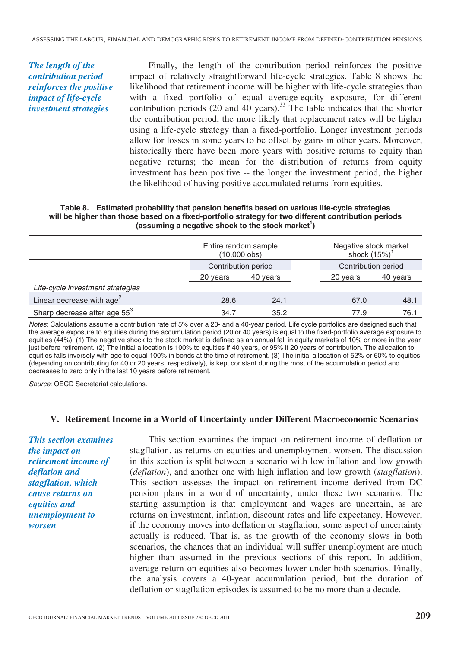*The length of the contribution period reinforces the positive impact of life-cycle investment strategies* 

Finally, the length of the contribution period reinforces the positive impact of relatively straightforward life-cycle strategies. Table 8 shows the likelihood that retirement income will be higher with life-cycle strategies than with a fixed portfolio of equal average-equity exposure, for different contribution periods (20 and 40 years).<sup>33</sup> The table indicates that the shorter the contribution period, the more likely that replacement rates will be higher using a life-cycle strategy than a fixed-portfolio. Longer investment periods allow for losses in some years to be offset by gains in other years. Moreover, historically there have been more years with positive returns to equity than negative returns; the mean for the distribution of returns from equity investment has been positive -- the longer the investment period, the higher the likelihood of having positive accumulated returns from equities.

#### **Table 8. Estimated probability that pension benefits based on various life-cycle strategies will be higher than those based on a fixed-portfolio strategy for two different contribution periods**  (assuming a negative shock to the stock market<sup>1</sup>)

|                                          | Entire random sample<br>$(10,000 \text{ obs})$ |          |  | Negative stock market<br>shock $(15%)^1$ |          |  |
|------------------------------------------|------------------------------------------------|----------|--|------------------------------------------|----------|--|
|                                          | Contribution period                            |          |  | Contribution period                      |          |  |
|                                          | 20 years                                       | 40 years |  | 20 years                                 | 40 years |  |
| Life-cycle investment strategies         |                                                |          |  |                                          |          |  |
| Linear decrease with age <sup>2</sup>    | 28.6                                           | 24.1     |  | 67.0                                     | 48.1     |  |
| Sharp decrease after age 55 <sup>3</sup> | 34.7                                           | 35.2     |  | 77.9                                     | 76.1     |  |

Notes: Calculations assume a contribution rate of 5% over a 20- and a 40-year period. Life cycle portfolios are designed such that the average exposure to equities during the accumulation period (20 or 40 years) is equal to the fixed-portfolio average exposure to equities (44%). (1) The negative shock to the stock market is defined as an annual fall in equity markets of 10% or more in the year just before retirement. (2) The initial allocation is 100% to equities if 40 years, or 95% if 20 years of contribution. The allocation to equities falls inversely with age to equal 100% in bonds at the time of retirement. (3) The initial allocation of 52% or 60% to equities (depending on contributing for 40 or 20 years, respectively), is kept constant during the most of the accumulation period and decreases to zero only in the last 10 years before retirement.

Source: OECD Secretariat calculations.

#### **V. Retirement Income in a World of Uncertainty under Different Macroeconomic Scenarios**

*This section examines the impact on retirement income of deflation and stagflation, which cause returns on equities and unemployment to worsen* 

This section examines the impact on retirement income of deflation or stagflation, as returns on equities and unemployment worsen. The discussion in this section is split between a scenario with low inflation and low growth (*deflation*), and another one with high inflation and low growth (*stagflation*). This section assesses the impact on retirement income derived from DC pension plans in a world of uncertainty, under these two scenarios. The starting assumption is that employment and wages are uncertain, as are returns on investment, inflation, discount rates and life expectancy. However, if the economy moves into deflation or stagflation, some aspect of uncertainty actually is reduced. That is, as the growth of the economy slows in both scenarios, the chances that an individual will suffer unemployment are much higher than assumed in the previous sections of this report. In addition, average return on equities also becomes lower under both scenarios. Finally, the analysis covers a 40-year accumulation period, but the duration of deflation or stagflation episodes is assumed to be no more than a decade.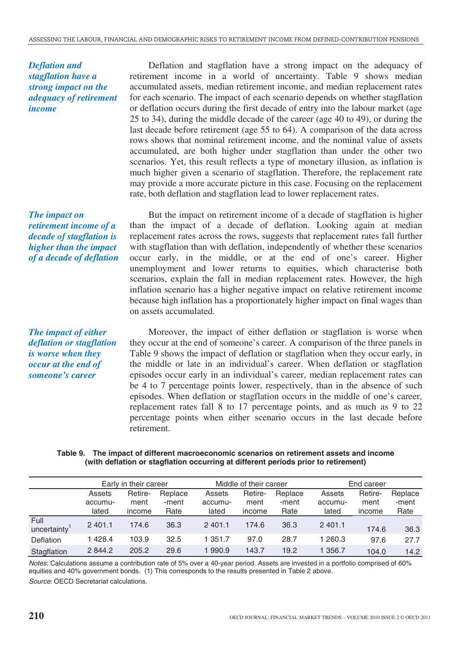*Deflation and stagflation have a strong impact on the adequacy of retirement income* 

*The impact on retirement income of a decade of stagflation is higher than the impact of a decade of deflation* 

Deflation and stagflation have a strong impact on the adequacy of retirement income in a world of uncertainty. Table 9 shows median accumulated assets, median retirement income, and median replacement rates for each scenario. The impact of each scenario depends on whether stagflation or deflation occurs during the first decade of entry into the labour market (age 25 to 34), during the middle decade of the career (age 40 to 49), or during the last decade before retirement (age 55 to 64). A comparison of the data across rows shows that nominal retirement income, and the nominal value of assets accumulated, are both higher under stagflation than under the other two scenarios. Yet, this result reflects a type of monetary illusion, as inflation is much higher given a scenario of stagflation. Therefore, the replacement rate may provide a more accurate picture in this case. Focusing on the replacement rate, both deflation and stagflation lead to lower replacement rates.

But the impact on retirement income of a decade of stagflation is higher than the impact of a decade of deflation. Looking again at median replacement rates across the rows, suggests that replacement rates fall further with stagflation than with deflation, independently of whether these scenarios occur early, in the middle, or at the end of one's career. Higher unemployment and lower returns to equities, which characterise both scenarios, explain the fall in median replacement rates. However, the high inflation scenario has a higher negative impact on relative retirement income because high inflation has a proportionately higher impact on final wages than on assets accumulated.

*The impact of either deflation or stagflation is worse when they occur at the end of someone's career* 

Moreover, the impact of either deflation or stagflation is worse when they occur at the end of someone's career. A comparison of the three panels in Table 9 shows the impact of deflation or stagflation when they occur early, in the middle or late in an individual's career. When deflation or stagflation episodes occur early in an individual's career, median replacement rates can be 4 to 7 percentage points lower, respectively, than in the absence of such episodes. When deflation or stagflation occurs in the middle of one's career, replacement rates fall 8 to 17 percentage points, and as much as 9 to 22 percentage points when either scenario occurs in the last decade before retirement.

#### **Table 9. The impact of different macroeconomic scenarios on retirement assets and income (with deflation or stagflation occurring at different periods prior to retirement)**

|                                  | Early in their career |         | Middle of their career |            |         | End career |            |         |         |
|----------------------------------|-----------------------|---------|------------------------|------------|---------|------------|------------|---------|---------|
|                                  | Assets                | Retire- | Replace                | Assets     | Retire- | Replace    | Assets     | Retire- | Replace |
|                                  | accumu-               | ment    | -ment                  | accumu-    | ment    | -ment      | accumu-    | ment    | -ment   |
|                                  | lated                 | income  | Rate                   | lated      | income  | Rate       | lated      | income  | Rate    |
| Full<br>uncertainty <sup>1</sup> | 2 4 0 1 .1            | 174.6   | 36.3                   | 2 4 0 1 .1 | 174.6   | 36.3       | 2 4 0 1 .1 | 174.6   | 36.3    |
| Deflation                        | 1428.4                | 103.9   | 32.5                   | 1 351.7    | 97.0    | 28.7       | 1 260.3    | 97.6    | 27.7    |
| Stagflation                      | 2844.2                | 205.2   | 29.6                   | 990.9      | 143.7   | 19.2       | 356.7      | 104.0   | 14.2    |

Notes: Calculations assume a contribution rate of 5% over a 40-year period. Assets are invested in a portfolio comprised of 60% equities and 40% government bonds. (1) This corresponds to the results presented in Table 2 above.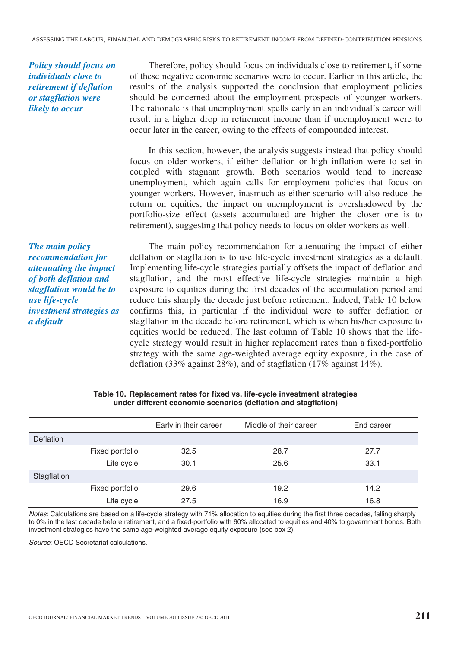*Policy should focus on individuals close to retirement if deflation or stagflation were likely to occur* 

Therefore, policy should focus on individuals close to retirement, if some of these negative economic scenarios were to occur. Earlier in this article, the results of the analysis supported the conclusion that employment policies should be concerned about the employment prospects of younger workers. The rationale is that unemployment spells early in an individual's career will result in a higher drop in retirement income than if unemployment were to occur later in the career, owing to the effects of compounded interest.

In this section, however, the analysis suggests instead that policy should focus on older workers, if either deflation or high inflation were to set in coupled with stagnant growth. Both scenarios would tend to increase unemployment, which again calls for employment policies that focus on younger workers. However, inasmuch as either scenario will also reduce the return on equities, the impact on unemployment is overshadowed by the portfolio-size effect (assets accumulated are higher the closer one is to retirement), suggesting that policy needs to focus on older workers as well.

*The main policy recommendation for attenuating the impact of both deflation and stagflation would be to use life-cycle investment strategies as a default* 

The main policy recommendation for attenuating the impact of either deflation or stagflation is to use life-cycle investment strategies as a default. Implementing life-cycle strategies partially offsets the impact of deflation and stagflation, and the most effective life-cycle strategies maintain a high exposure to equities during the first decades of the accumulation period and reduce this sharply the decade just before retirement. Indeed, Table 10 below confirms this, in particular if the individual were to suffer deflation or stagflation in the decade before retirement, which is when his/her exposure to equities would be reduced. The last column of Table 10 shows that the lifecycle strategy would result in higher replacement rates than a fixed-portfolio strategy with the same age-weighted average equity exposure, in the case of deflation (33% against 28%), and of stagflation (17% against 14%).

|                  |                 | Early in their career | Middle of their career | End career |
|------------------|-----------------|-----------------------|------------------------|------------|
| <b>Deflation</b> |                 |                       |                        |            |
|                  | Fixed portfolio | 32.5                  | 28.7                   | 27.7       |
|                  | Life cycle      | 30.1                  | 25.6                   | 33.1       |
| Stagflation      |                 |                       |                        |            |
|                  | Fixed portfolio | 29.6                  | 19.2                   | 14.2       |
|                  | Life cycle      | 27.5                  | 16.9                   | 16.8       |

#### **Table 10. Replacement rates for fixed vs. life-cycle investment strategies under different economic scenarios (deflation and stagflation)**

Notes: Calculations are based on a life-cycle strategy with 71% allocation to equities during the first three decades, falling sharply to 0% in the last decade before retirement, and a fixed-portfolio with 60% allocated to equities and 40% to government bonds. Both investment strategies have the same age-weighted average equity exposure (see box 2).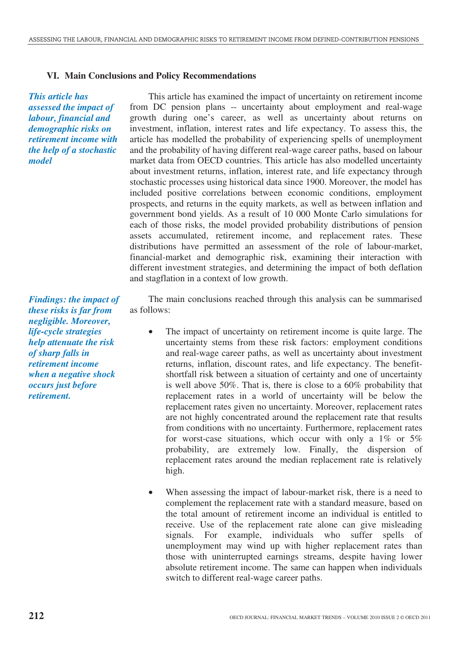# **VI. Main Conclusions and Policy Recommendations**

*This article has assessed the impact of labour, financial and demographic risks on retirement income with the help of a stochastic model* 

*Findings: the impact of these risks is far from negligible. Moreover, life-cycle strategies help attenuate the risk of sharp falls in retirement income when a negative shock occurs just before retirement.* 

This article has examined the impact of uncertainty on retirement income from DC pension plans -- uncertainty about employment and real-wage growth during one's career, as well as uncertainty about returns on investment, inflation, interest rates and life expectancy. To assess this, the article has modelled the probability of experiencing spells of unemployment and the probability of having different real-wage career paths, based on labour market data from OECD countries. This article has also modelled uncertainty about investment returns, inflation, interest rate, and life expectancy through stochastic processes using historical data since 1900. Moreover, the model has included positive correlations between economic conditions, employment prospects, and returns in the equity markets, as well as between inflation and government bond yields. As a result of 10 000 Monte Carlo simulations for each of those risks, the model provided probability distributions of pension assets accumulated, retirement income, and replacement rates. These distributions have permitted an assessment of the role of labour-market, financial-market and demographic risk, examining their interaction with different investment strategies, and determining the impact of both deflation and stagflation in a context of low growth.

The main conclusions reached through this analysis can be summarised as follows:

- The impact of uncertainty on retirement income is quite large. The uncertainty stems from these risk factors: employment conditions and real-wage career paths, as well as uncertainty about investment returns, inflation, discount rates, and life expectancy. The benefitshortfall risk between a situation of certainty and one of uncertainty is well above 50%. That is, there is close to a 60% probability that replacement rates in a world of uncertainty will be below the replacement rates given no uncertainty. Moreover, replacement rates are not highly concentrated around the replacement rate that results from conditions with no uncertainty. Furthermore, replacement rates for worst-case situations, which occur with only a 1% or 5% probability, are extremely low. Finally, the dispersion of replacement rates around the median replacement rate is relatively high.
- When assessing the impact of labour-market risk, there is a need to complement the replacement rate with a standard measure, based on the total amount of retirement income an individual is entitled to receive. Use of the replacement rate alone can give misleading signals. For example, individuals who suffer spells of unemployment may wind up with higher replacement rates than those with uninterrupted earnings streams, despite having lower absolute retirement income. The same can happen when individuals switch to different real-wage career paths.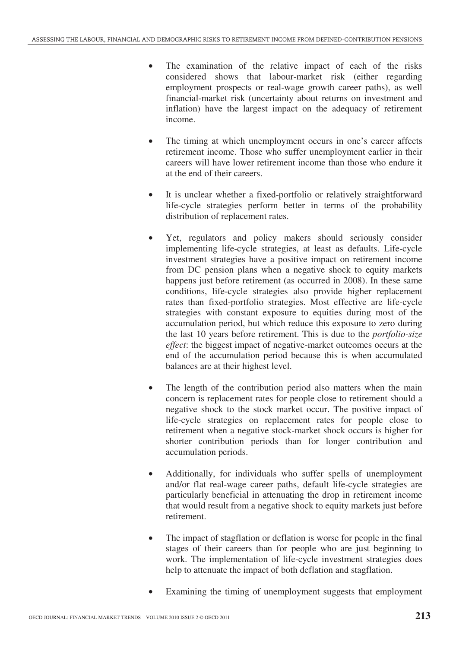- The examination of the relative impact of each of the risks considered shows that labour-market risk (either regarding employment prospects or real-wage growth career paths), as well financial-market risk (uncertainty about returns on investment and inflation) have the largest impact on the adequacy of retirement income.
- The timing at which unemployment occurs in one's career affects retirement income. Those who suffer unemployment earlier in their careers will have lower retirement income than those who endure it at the end of their careers.
- It is unclear whether a fixed-portfolio or relatively straightforward life-cycle strategies perform better in terms of the probability distribution of replacement rates.
- Yet, regulators and policy makers should seriously consider implementing life-cycle strategies, at least as defaults. Life-cycle investment strategies have a positive impact on retirement income from DC pension plans when a negative shock to equity markets happens just before retirement (as occurred in 2008). In these same conditions, life-cycle strategies also provide higher replacement rates than fixed-portfolio strategies. Most effective are life-cycle strategies with constant exposure to equities during most of the accumulation period, but which reduce this exposure to zero during the last 10 years before retirement. This is due to the *portfolio-size effect*: the biggest impact of negative-market outcomes occurs at the end of the accumulation period because this is when accumulated balances are at their highest level.
- The length of the contribution period also matters when the main concern is replacement rates for people close to retirement should a negative shock to the stock market occur. The positive impact of life-cycle strategies on replacement rates for people close to retirement when a negative stock-market shock occurs is higher for shorter contribution periods than for longer contribution and accumulation periods.
- Additionally, for individuals who suffer spells of unemployment and/or flat real-wage career paths, default life-cycle strategies are particularly beneficial in attenuating the drop in retirement income that would result from a negative shock to equity markets just before retirement.
- The impact of stagflation or deflation is worse for people in the final stages of their careers than for people who are just beginning to work. The implementation of life-cycle investment strategies does help to attenuate the impact of both deflation and stagflation.
- Examining the timing of unemployment suggests that employment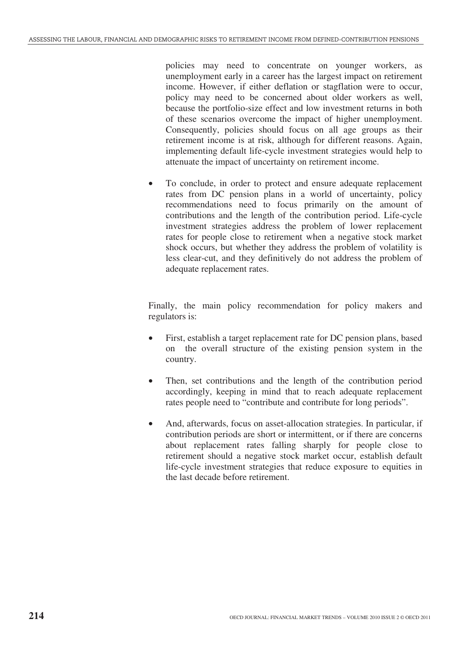policies may need to concentrate on younger workers, as unemployment early in a career has the largest impact on retirement income. However, if either deflation or stagflation were to occur, policy may need to be concerned about older workers as well, because the portfolio-size effect and low investment returns in both of these scenarios overcome the impact of higher unemployment. Consequently, policies should focus on all age groups as their retirement income is at risk, although for different reasons. Again, implementing default life-cycle investment strategies would help to attenuate the impact of uncertainty on retirement income.

• To conclude, in order to protect and ensure adequate replacement rates from DC pension plans in a world of uncertainty, policy recommendations need to focus primarily on the amount of contributions and the length of the contribution period. Life-cycle investment strategies address the problem of lower replacement rates for people close to retirement when a negative stock market shock occurs, but whether they address the problem of volatility is less clear-cut, and they definitively do not address the problem of adequate replacement rates.

Finally, the main policy recommendation for policy makers and regulators is:

- First, establish a target replacement rate for DC pension plans, based on the overall structure of the existing pension system in the country.
- Then, set contributions and the length of the contribution period accordingly, keeping in mind that to reach adequate replacement rates people need to "contribute and contribute for long periods".
- And, afterwards, focus on asset-allocation strategies. In particular, if contribution periods are short or intermittent, or if there are concerns about replacement rates falling sharply for people close to retirement should a negative stock market occur, establish default life-cycle investment strategies that reduce exposure to equities in the last decade before retirement.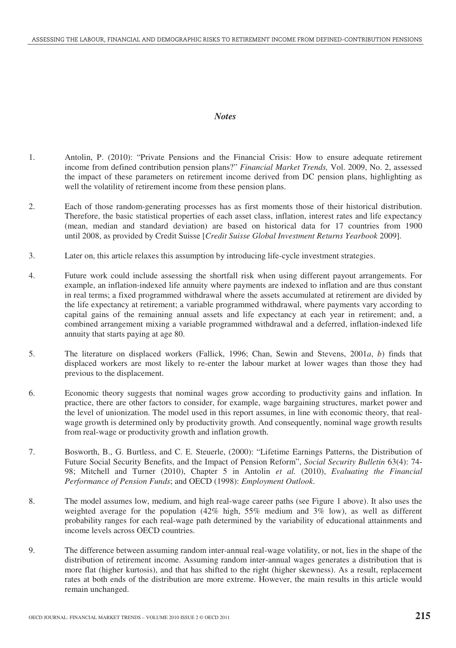#### *Notes*

- 1. Antolin, P. (2010): "Private Pensions and the Financial Crisis: How to ensure adequate retirement income from defined contribution pension plans?" *Financial Market Trends,* Vol. 2009, No. 2, assessed the impact of these parameters on retirement income derived from DC pension plans, highlighting as well the volatility of retirement income from these pension plans.
- 2. Each of those random-generating processes has as first moments those of their historical distribution. Therefore, the basic statistical properties of each asset class, inflation, interest rates and life expectancy (mean, median and standard deviation) are based on historical data for 17 countries from 1900 until 2008, as provided by Credit Suisse [*Credit Suisse Global Investment Returns Yearbook* 2009].
- 3. Later on, this article relaxes this assumption by introducing life-cycle investment strategies.
- 4. Future work could include assessing the shortfall risk when using different payout arrangements. For example, an inflation-indexed life annuity where payments are indexed to inflation and are thus constant in real terms; a fixed programmed withdrawal where the assets accumulated at retirement are divided by the life expectancy at retirement; a variable programmed withdrawal, where payments vary according to capital gains of the remaining annual assets and life expectancy at each year in retirement; and, a combined arrangement mixing a variable programmed withdrawal and a deferred, inflation-indexed life annuity that starts paying at age 80.
- 5. The literature on displaced workers (Fallick, 1996; Chan, Sewin and Stevens, 2001*a*, *b*) finds that displaced workers are most likely to re-enter the labour market at lower wages than those they had previous to the displacement.
- 6. Economic theory suggests that nominal wages grow according to productivity gains and inflation. In practice, there are other factors to consider, for example, wage bargaining structures, market power and the level of unionization. The model used in this report assumes, in line with economic theory, that realwage growth is determined only by productivity growth. And consequently, nominal wage growth results from real-wage or productivity growth and inflation growth.
- 7. Bosworth, B., G. Burtless, and C. E. Steuerle, (2000): "Lifetime Earnings Patterns, the Distribution of Future Social Security Benefits, and the Impact of Pension Reform", *Social Security Bulletin* 63(4): 74- 98; Mitchell and Turner (2010), Chapter 5 in Antolin *et al.* (2010), *Evaluating the Financial Performance of Pension Funds*; and OECD (1998): *Employment Outlook*.
- 8. The model assumes low, medium, and high real-wage career paths (see Figure 1 above). It also uses the weighted average for the population (42% high, 55% medium and 3% low), as well as different probability ranges for each real-wage path determined by the variability of educational attainments and income levels across OECD countries.
- 9. The difference between assuming random inter-annual real-wage volatility, or not, lies in the shape of the distribution of retirement income. Assuming random inter-annual wages generates a distribution that is more flat (higher kurtosis), and that has shifted to the right (higher skewness). As a result, replacement rates at both ends of the distribution are more extreme. However, the main results in this article would remain unchanged.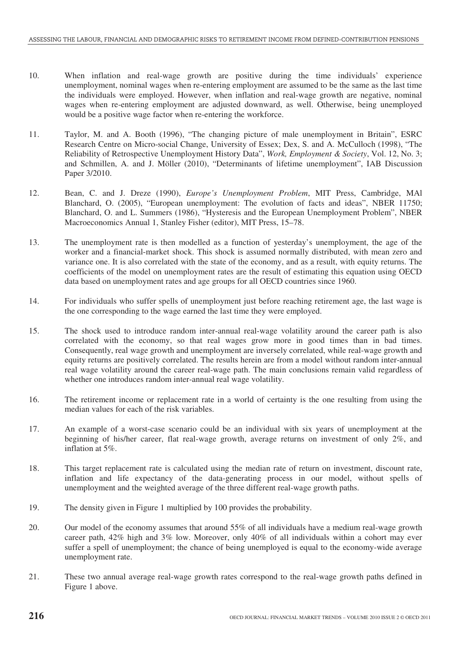- 10. When inflation and real-wage growth are positive during the time individuals' experience unemployment, nominal wages when re-entering employment are assumed to be the same as the last time the individuals were employed. However, when inflation and real-wage growth are negative, nominal wages when re-entering employment are adjusted downward, as well. Otherwise, being unemployed would be a positive wage factor when re-entering the workforce.
- 11. Taylor, M. and A. Booth (1996), "The changing picture of male unemployment in Britain", ESRC Research Centre on Micro-social Change, University of Essex; Dex, S. and A. McCulloch (1998), "The Reliability of Retrospective Unemployment History Data", *Work, Employment & Society*, Vol. 12, No. 3; and Schmillen, A. and J. Möller (2010), "Determinants of lifetime unemployment", IAB Discussion Paper 3/2010.
- 12. Bean, C. and J. Dreze (1990), *Europe's Unemployment Problem*, MIT Press, Cambridge, MAl Blanchard, O. (2005), "European unemployment: The evolution of facts and ideas", NBER 11750; Blanchard, O. and L. Summers (1986), "Hysteresis and the European Unemployment Problem", NBER Macroeconomics Annual 1, Stanley Fisher (editor), MIT Press, 15–78.
- 13. The unemployment rate is then modelled as a function of yesterday's unemployment, the age of the worker and a financial-market shock. This shock is assumed normally distributed, with mean zero and variance one. It is also correlated with the state of the economy, and as a result, with equity returns. The coefficients of the model on unemployment rates are the result of estimating this equation using OECD data based on unemployment rates and age groups for all OECD countries since 1960.
- 14. For individuals who suffer spells of unemployment just before reaching retirement age, the last wage is the one corresponding to the wage earned the last time they were employed.
- 15. The shock used to introduce random inter-annual real-wage volatility around the career path is also correlated with the economy, so that real wages grow more in good times than in bad times. Consequently, real wage growth and unemployment are inversely correlated, while real-wage growth and equity returns are positively correlated. The results herein are from a model without random inter-annual real wage volatility around the career real-wage path. The main conclusions remain valid regardless of whether one introduces random inter-annual real wage volatility.
- 16. The retirement income or replacement rate in a world of certainty is the one resulting from using the median values for each of the risk variables.
- 17. An example of a worst-case scenario could be an individual with six years of unemployment at the beginning of his/her career, flat real-wage growth, average returns on investment of only 2%, and inflation at 5%.
- 18. This target replacement rate is calculated using the median rate of return on investment, discount rate, inflation and life expectancy of the data-generating process in our model, without spells of unemployment and the weighted average of the three different real-wage growth paths.
- 19. The density given in Figure 1 multiplied by 100 provides the probability.
- 20. Our model of the economy assumes that around 55% of all individuals have a medium real-wage growth career path, 42% high and 3% low. Moreover, only 40% of all individuals within a cohort may ever suffer a spell of unemployment; the chance of being unemployed is equal to the economy-wide average unemployment rate.
- 21. These two annual average real-wage growth rates correspond to the real-wage growth paths defined in Figure 1 above.